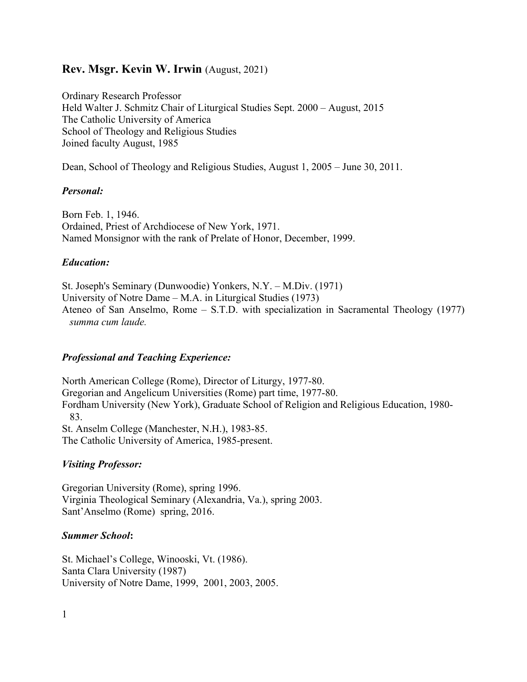### **Rev. Msgr. Kevin W. Irwin** (August, 2021)

Ordinary Research Professor Held Walter J. Schmitz Chair of Liturgical Studies Sept. 2000 – August, 2015 The Catholic University of America School of Theology and Religious Studies Joined faculty August, 1985

Dean, School of Theology and Religious Studies, August 1, 2005 – June 30, 2011.

#### *Personal:*

Born Feb. 1, 1946. Ordained, Priest of Archdiocese of New York, 1971. Named Monsignor with the rank of Prelate of Honor, December, 1999.

### *Education:*

St. Joseph's Seminary (Dunwoodie) Yonkers, N.Y. – M.Div. (1971) University of Notre Dame – M.A. in Liturgical Studies (1973) Ateneo of San Anselmo, Rome – S.T.D. with specialization in Sacramental Theology (1977) *summa cum laude.*

### *Professional and Teaching Experience:*

North American College (Rome), Director of Liturgy, 1977-80. Gregorian and Angelicum Universities (Rome) part time, 1977-80. Fordham University (New York), Graduate School of Religion and Religious Education, 1980- 83. St. Anselm College (Manchester, N.H.), 1983-85. The Catholic University of America, 1985-present.

### *Visiting Professor:*

Gregorian University (Rome), spring 1996. Virginia Theological Seminary (Alexandria, Va.), spring 2003. Sant'Anselmo (Rome) spring, 2016.

#### *Summer School***:**

St. Michael's College, Winooski, Vt. (1986). Santa Clara University (1987) University of Notre Dame, 1999, 2001, 2003, 2005.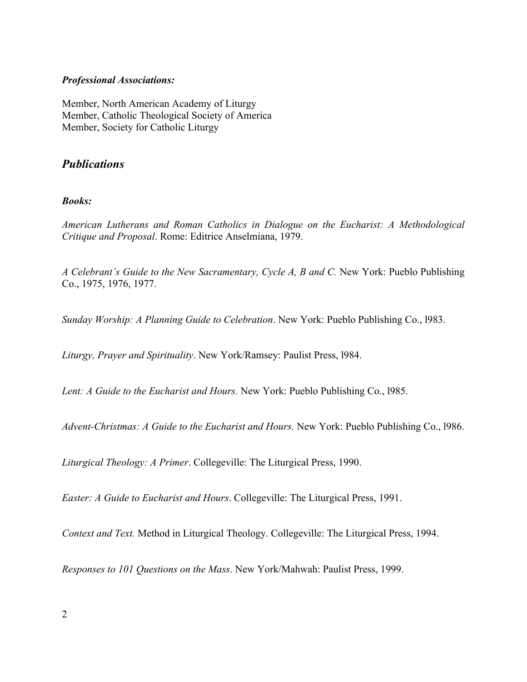#### *Professional Associations:*

Member, North American Academy of Liturgy Member, Catholic Theological Society of America Member, Society for Catholic Liturgy

### *Publications*

### *Books:*

*American Lutherans and Roman Catholics in Dialogue on the Eucharist: A Methodological Critique and Proposal*. Rome: Editrice Anselmiana, 1979.

*A Celebrant's Guide to the New Sacramentary, Cycle A, B and C.* New York: Pueblo Publishing Co., 1975, 1976, 1977.

*Sunday Worship: A Planning Guide to Celebration*. New York: Pueblo Publishing Co., l983.

*Liturgy, Prayer and Spirituality*. New York/Ramsey: Paulist Press, l984.

*Lent: A Guide to the Eucharist and Hours.* New York: Pueblo Publishing Co., l985.

*Advent-Christmas: A Guide to the Eucharist and Hours.* New York: Pueblo Publishing Co., l986.

*Liturgical Theology: A Primer*. Collegeville: The Liturgical Press, 1990.

*Easter: A Guide to Eucharist and Hours*. Collegeville: The Liturgical Press, 1991.

*Context and Text.* Method in Liturgical Theology. Collegeville: The Liturgical Press, 1994.

*Responses to 101 Questions on the Mass*. New York/Mahwah: Paulist Press, 1999.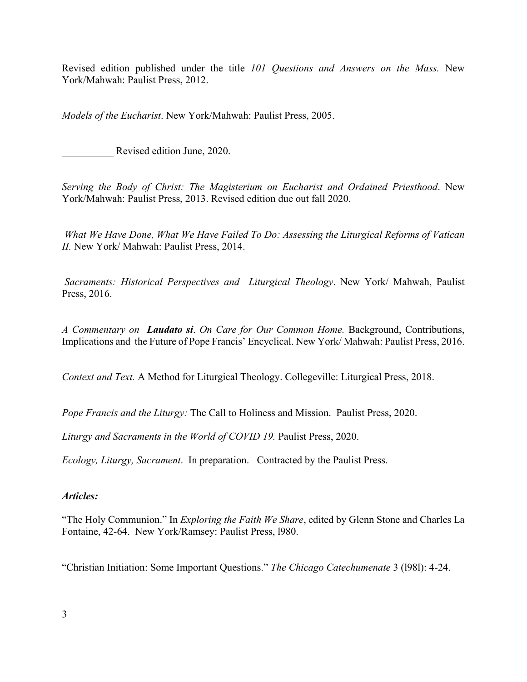Revised edition published under the title *101 Questions and Answers on the Mass.* New York/Mahwah: Paulist Press, 2012.

*Models of the Eucharist*. New York/Mahwah: Paulist Press, 2005.

Revised edition June, 2020.

*Serving the Body of Christ: The Magisterium on Eucharist and Ordained Priesthood*. New York/Mahwah: Paulist Press, 2013. Revised edition due out fall 2020.

*What We Have Done, What We Have Failed To Do: Assessing the Liturgical Reforms of Vatican II.* New York/ Mahwah: Paulist Press, 2014.

*Sacraments: Historical Perspectives and Liturgical Theology*. New York/ Mahwah, Paulist Press, 2016.

*A Commentary on Laudato si*. *On Care for Our Common Home.* Background, Contributions, Implications and the Future of Pope Francis' Encyclical. New York/ Mahwah: Paulist Press, 2016.

*Context and Text.* A Method for Liturgical Theology. Collegeville: Liturgical Press, 2018.

*Pope Francis and the Liturgy:* The Call to Holiness and Mission. Paulist Press, 2020.

*Liturgy and Sacraments in the World of COVID 19.* Paulist Press, 2020.

*Ecology, Liturgy, Sacrament*. In preparation. Contracted by the Paulist Press.

#### *Articles:*

"The Holy Communion." In *Exploring the Faith We Share*, edited by Glenn Stone and Charles La Fontaine, 42-64. New York/Ramsey: Paulist Press, l980.

"Christian Initiation: Some Important Questions." *The Chicago Catechumenate* 3 (l98l): 4-24.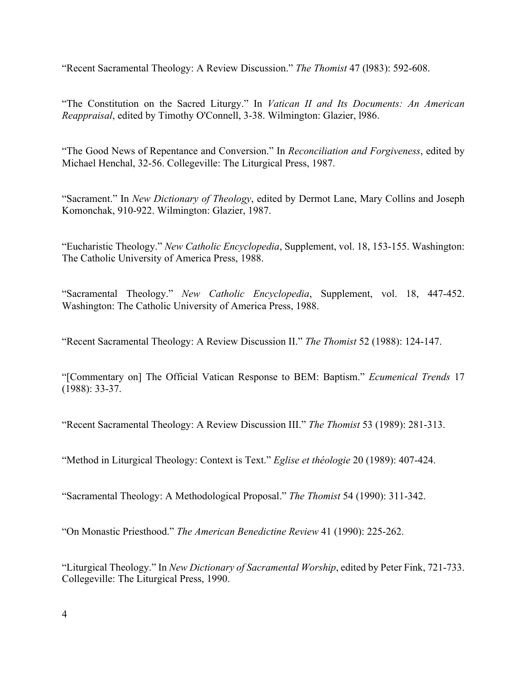"Recent Sacramental Theology: A Review Discussion." *The Thomist* 47 (l983): 592-608.

"The Constitution on the Sacred Liturgy." In *Vatican II and Its Documents: An American Reappraisal*, edited by Timothy O'Connell, 3-38. Wilmington: Glazier, l986.

"The Good News of Repentance and Conversion." In *Reconciliation and Forgiveness*, edited by Michael Henchal, 32-56. Collegeville: The Liturgical Press, 1987.

"Sacrament." In *New Dictionary of Theology*, edited by Dermot Lane, Mary Collins and Joseph Komonchak, 910-922. Wilmington: Glazier, 1987.

"Eucharistic Theology." *New Catholic Encyclopedia*, Supplement, vol. 18, 153-155. Washington: The Catholic University of America Press, 1988.

"Sacramental Theology." *New Catholic Encyclopedia*, Supplement, vol. 18, 447-452. Washington: The Catholic University of America Press, 1988.

"Recent Sacramental Theology: A Review Discussion II." *The Thomist* 52 (1988): 124-147.

"[Commentary on] The Official Vatican Response to BEM: Baptism." *Ecumenical Trends* 17 (1988): 33-37.

"Recent Sacramental Theology: A Review Discussion III." *The Thomist* 53 (1989): 281-313.

"Method in Liturgical Theology: Context is Text." *Eglise et théologie* 20 (1989): 407-424.

"Sacramental Theology: A Methodological Proposal." *The Thomist* 54 (1990): 311-342.

"On Monastic Priesthood." *The American Benedictine Review* 41 (1990): 225-262.

"Liturgical Theology." In *New Dictionary of Sacramental Worship*, edited by Peter Fink, 721-733. Collegeville: The Liturgical Press, 1990.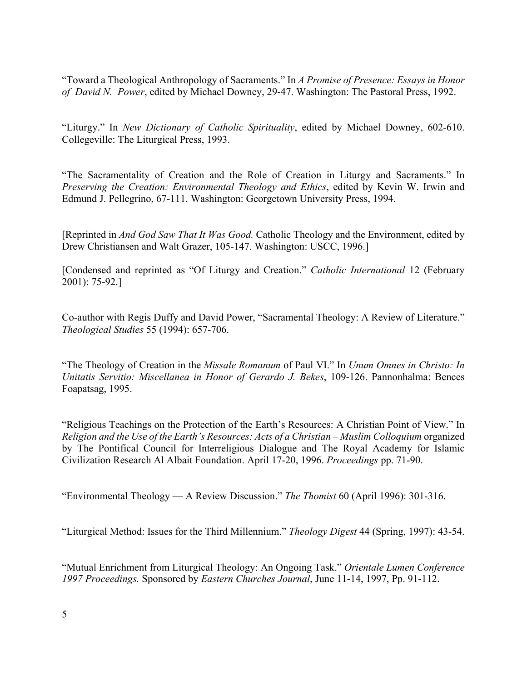"Toward a Theological Anthropology of Sacraments." In *A Promise of Presence: Essays in Honor of David N. Power*, edited by Michael Downey, 29-47. Washington: The Pastoral Press, 1992.

"Liturgy." In *New Dictionary of Catholic Spirituality*, edited by Michael Downey, 602-610. Collegeville: The Liturgical Press, 1993.

"The Sacramentality of Creation and the Role of Creation in Liturgy and Sacraments." In *Preserving the Creation: Environmental Theology and Ethics*, edited by Kevin W. Irwin and Edmund J. Pellegrino, 67-111. Washington: Georgetown University Press, 1994.

[Reprinted in *And God Saw That It Was Good.* Catholic Theology and the Environment, edited by Drew Christiansen and Walt Grazer, 105-147. Washington: USCC, 1996.]

[Condensed and reprinted as "Of Liturgy and Creation." *Catholic International* 12 (February 2001): 75-92.]

Co-author with Regis Duffy and David Power, "Sacramental Theology: A Review of Literature." *Theological Studies* 55 (1994): 657-706.

"The Theology of Creation in the *Missale Romanum* of Paul VI." In *Unum Omnes in Christo: In Unitatis Servitio: Miscellanea in Honor of Gerardo J. Bekes*, 109-126. Pannonhalma: Bences Foapatsag, 1995.

"Religious Teachings on the Protection of the Earth's Resources: A Christian Point of View." In *Religion and the Use of the Earth's Resources: Acts of a Christian – Muslim Colloquium* organized by The Pontifical Council for Interreligious Dialogue and The Royal Academy for Islamic Civilization Research Al Albait Foundation. April 17-20, 1996. *Proceedings* pp. 71-90.

"Environmental Theology — A Review Discussion." *The Thomist* 60 (April 1996): 301-316.

"Liturgical Method: Issues for the Third Millennium." *Theology Digest* 44 (Spring, 1997): 43-54.

"Mutual Enrichment from Liturgical Theology: An Ongoing Task." *Orientale Lumen Conference 1997 Proceedings.* Sponsored by *Eastern Churches Journal*, June 11-14, 1997, Pp. 91-112.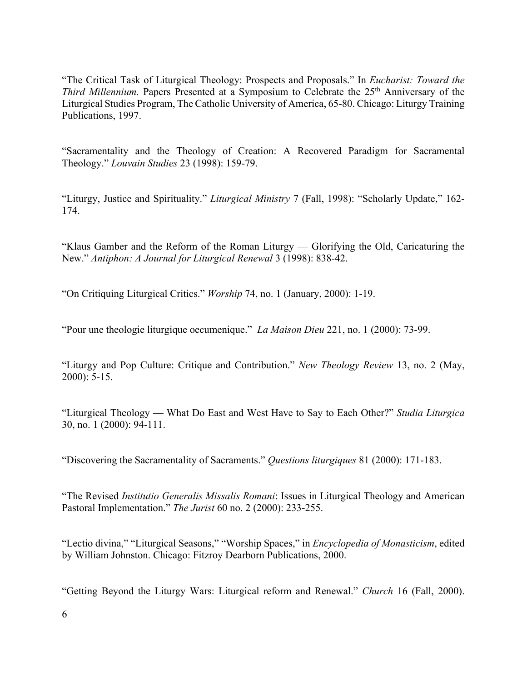"The Critical Task of Liturgical Theology: Prospects and Proposals." In *Eucharist: Toward the Third Millennium.* Papers Presented at a Symposium to Celebrate the 25<sup>th</sup> Anniversary of the Liturgical Studies Program, The Catholic University of America, 65-80. Chicago: Liturgy Training Publications, 1997.

"Sacramentality and the Theology of Creation: A Recovered Paradigm for Sacramental Theology." *Louvain Studies* 23 (1998): 159-79.

"Liturgy, Justice and Spirituality." *Liturgical Ministry* 7 (Fall, 1998): "Scholarly Update," 162- 174.

"Klaus Gamber and the Reform of the Roman Liturgy — Glorifying the Old, Caricaturing the New." *Antiphon: A Journal for Liturgical Renewal* 3 (1998): 838-42.

"On Critiquing Liturgical Critics." *Worship* 74, no. 1 (January, 2000): 1-19.

"Pour une theologie liturgique oecumenique." *La Maison Dieu* 221, no. 1 (2000): 73-99.

"Liturgy and Pop Culture: Critique and Contribution." *New Theology Review* 13, no. 2 (May, 2000): 5-15.

"Liturgical Theology — What Do East and West Have to Say to Each Other?" *Studia Liturgica* 30, no. 1 (2000): 94-111.

"Discovering the Sacramentality of Sacraments." *Questions liturgiques* 81 (2000): 171-183.

"The Revised *Institutio Generalis Missalis Romani*: Issues in Liturgical Theology and American Pastoral Implementation." *The Jurist* 60 no. 2 (2000): 233-255.

"Lectio divina," "Liturgical Seasons," "Worship Spaces," in *Encyclopedia of Monasticism*, edited by William Johnston. Chicago: Fitzroy Dearborn Publications, 2000.

"Getting Beyond the Liturgy Wars: Liturgical reform and Renewal." *Church* 16 (Fall, 2000).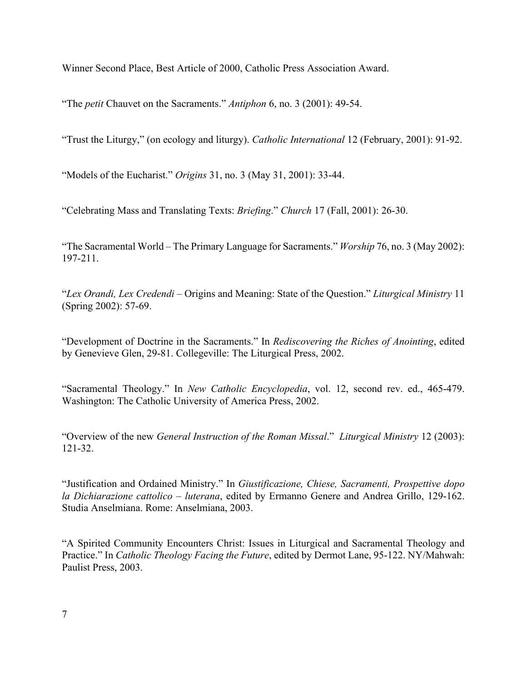Winner Second Place, Best Article of 2000, Catholic Press Association Award.

"The *petit* Chauvet on the Sacraments." *Antiphon* 6, no. 3 (2001): 49-54.

"Trust the Liturgy," (on ecology and liturgy). *Catholic International* 12 (February, 2001): 91-92.

"Models of the Eucharist." *Origins* 31, no. 3 (May 31, 2001): 33-44.

"Celebrating Mass and Translating Texts: *Briefing*." *Church* 17 (Fall, 2001): 26-30.

"The Sacramental World – The Primary Language for Sacraments." *Worship* 76, no. 3 (May 2002): 197-211.

"*Lex Orandi, Lex Credendi* – Origins and Meaning: State of the Question." *Liturgical Ministry* 11 (Spring 2002): 57-69.

"Development of Doctrine in the Sacraments." In *Rediscovering the Riches of Anointing*, edited by Genevieve Glen, 29-81. Collegeville: The Liturgical Press, 2002.

"Sacramental Theology." In *New Catholic Encyclopedia*, vol. 12, second rev. ed., 465-479. Washington: The Catholic University of America Press, 2002.

"Overview of the new *General Instruction of the Roman Missal*." *Liturgical Ministry* 12 (2003): 121-32.

"Justification and Ordained Ministry." In *Giustificazione, Chiese, Sacramenti, Prospettive dopo la Dichiarazione cattolico – luterana*, edited by Ermanno Genere and Andrea Grillo, 129-162. Studia Anselmiana. Rome: Anselmiana, 2003.

"A Spirited Community Encounters Christ: Issues in Liturgical and Sacramental Theology and Practice." In *Catholic Theology Facing the Future*, edited by Dermot Lane, 95-122. NY/Mahwah: Paulist Press, 2003.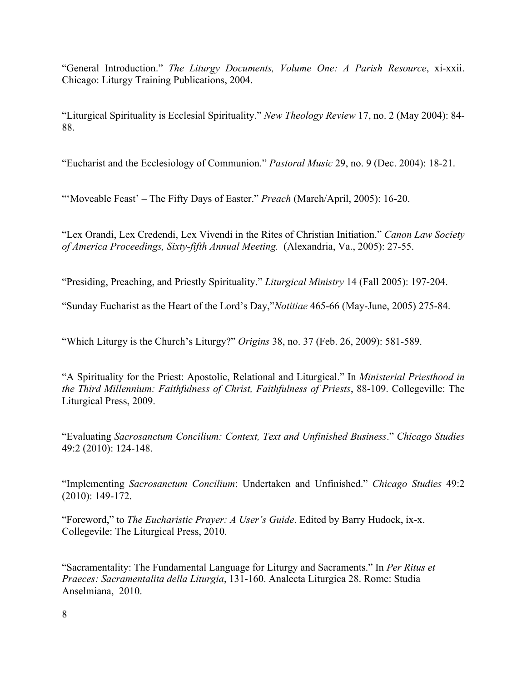"General Introduction." *The Liturgy Documents, Volume One: A Parish Resource*, xi-xxii. Chicago: Liturgy Training Publications, 2004.

"Liturgical Spirituality is Ecclesial Spirituality." *New Theology Review* 17, no. 2 (May 2004): 84- 88.

"Eucharist and the Ecclesiology of Communion." *Pastoral Music* 29, no. 9 (Dec. 2004): 18-21.

"'Moveable Feast' – The Fifty Days of Easter." *Preach* (March/April, 2005): 16-20.

"Lex Orandi, Lex Credendi, Lex Vivendi in the Rites of Christian Initiation." *Canon Law Society of America Proceedings, Sixty-fifth Annual Meeting.* (Alexandria, Va., 2005): 27-55.

"Presiding, Preaching, and Priestly Spirituality." *Liturgical Ministry* 14 (Fall 2005): 197-204.

"Sunday Eucharist as the Heart of the Lord's Day,"*Notitiae* 465-66 (May-June, 2005) 275-84.

"Which Liturgy is the Church's Liturgy?" *Origins* 38, no. 37 (Feb. 26, 2009): 581-589.

"A Spirituality for the Priest: Apostolic, Relational and Liturgical." In *Ministerial Priesthood in the Third Millennium: Faithfulness of Christ, Faithfulness of Priests*, 88-109. Collegeville: The Liturgical Press, 2009.

"Evaluating *Sacrosanctum Concilium: Context, Text and Unfinished Business*." *Chicago Studies*  49:2 (2010): 124-148.

"Implementing *Sacrosanctum Concilium*: Undertaken and Unfinished." *Chicago Studies* 49:2 (2010): 149-172.

"Foreword," to *The Eucharistic Prayer: A User's Guide*. Edited by Barry Hudock, ix-x. Collegevile: The Liturgical Press, 2010.

"Sacramentality: The Fundamental Language for Liturgy and Sacraments." In *Per Ritus et Praeces: Sacramentalita della Liturgia*, 131-160. Analecta Liturgica 28. Rome: Studia Anselmiana, 2010.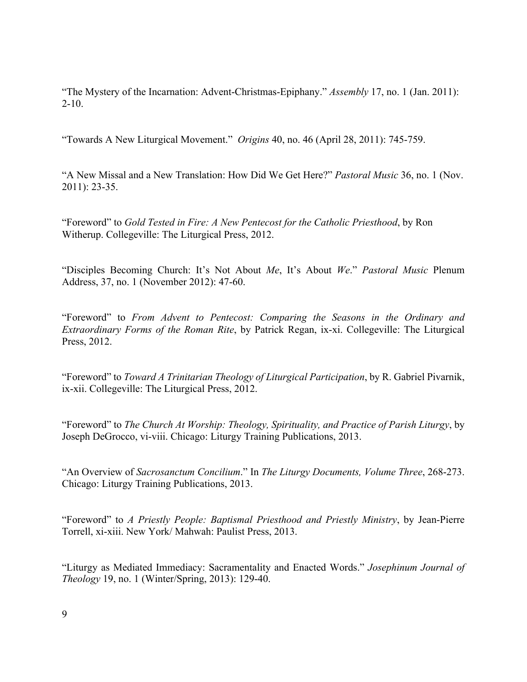"The Mystery of the Incarnation: Advent-Christmas-Epiphany." *Assembly* 17, no. 1 (Jan. 2011):  $2-10.$ 

"Towards A New Liturgical Movement." *Origins* 40, no. 46 (April 28, 2011): 745-759.

"A New Missal and a New Translation: How Did We Get Here?" *Pastoral Music* 36, no. 1 (Nov. 2011): 23-35.

"Foreword" to *Gold Tested in Fire: A New Pentecost for the Catholic Priesthood*, by Ron Witherup. Collegeville: The Liturgical Press, 2012.

"Disciples Becoming Church: It's Not About *Me*, It's About *We*." *Pastoral Music* Plenum Address, 37, no. 1 (November 2012): 47-60.

"Foreword" to *From Advent to Pentecost: Comparing the Seasons in the Ordinary and Extraordinary Forms of the Roman Rite*, by Patrick Regan, ix-xi. Collegeville: The Liturgical Press, 2012.

"Foreword" to *Toward A Trinitarian Theology of Liturgical Participation*, by R. Gabriel Pivarnik, ix-xii. Collegeville: The Liturgical Press, 2012.

"Foreword" to *The Church At Worship: Theology, Spirituality, and Practice of Parish Liturgy*, by Joseph DeGrocco, vi-viii. Chicago: Liturgy Training Publications, 2013.

"An Overview of *Sacrosanctum Concilium*." In *The Liturgy Documents, Volume Three*, 268-273. Chicago: Liturgy Training Publications, 2013.

"Foreword" to *A Priestly People: Baptismal Priesthood and Priestly Ministry*, by Jean-Pierre Torrell, xi-xiii. New York/ Mahwah: Paulist Press, 2013.

"Liturgy as Mediated Immediacy: Sacramentality and Enacted Words." *Josephinum Journal of Theology* 19, no. 1 (Winter/Spring, 2013): 129-40.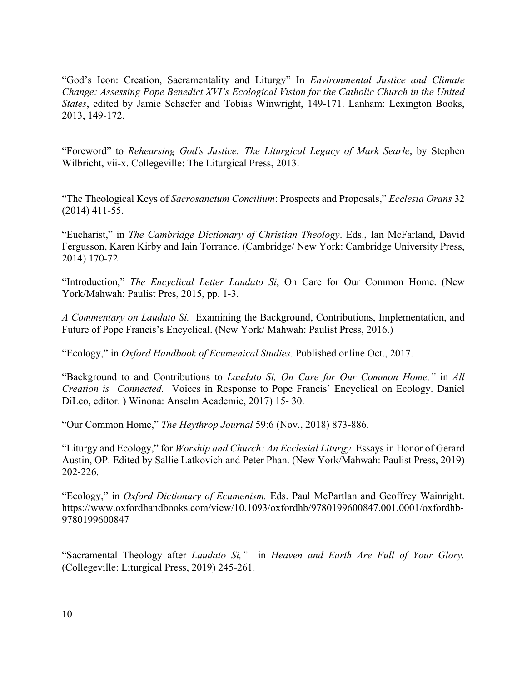"God's Icon: Creation, Sacramentality and Liturgy" In *Environmental Justice and Climate Change: Assessing Pope Benedict XVI's Ecological Vision for the Catholic Church in the United States*, edited by Jamie Schaefer and Tobias Winwright, 149-171. Lanham: Lexington Books, 2013, 149-172.

"Foreword" to *Rehearsing God's Justice: The Liturgical Legacy of Mark Searle*, by Stephen Wilbricht, vii-x. Collegeville: The Liturgical Press, 2013.

"The Theological Keys of *Sacrosanctum Concilium*: Prospects and Proposals," *Ecclesia Orans* 32 (2014) 411-55.

"Eucharist," in *The Cambridge Dictionary of Christian Theology*. Eds., Ian McFarland, David Fergusson, Karen Kirby and Iain Torrance. (Cambridge/ New York: Cambridge University Press, 2014) 170-72.

"Introduction," *The Encyclical Letter Laudato Si*, On Care for Our Common Home. (New York/Mahwah: Paulist Pres, 2015, pp. 1-3.

*A Commentary on Laudato Si.* Examining the Background, Contributions, Implementation, and Future of Pope Francis's Encyclical. (New York/ Mahwah: Paulist Press, 2016.)

"Ecology," in *Oxford Handbook of Ecumenical Studies.* Published online Oct., 2017.

"Background to and Contributions to *Laudato Si, On Care for Our Common Home,"* in *All Creation is Connected.* Voices in Response to Pope Francis' Encyclical on Ecology. Daniel DiLeo, editor. ) Winona: Anselm Academic, 2017) 15- 30.

"Our Common Home," *The Heythrop Journal* 59:6 (Nov., 2018) 873-886.

"Liturgy and Ecology," for *Worship and Church: An Ecclesial Liturgy.* Essays in Honor of Gerard Austin, OP. Edited by Sallie Latkovich and Peter Phan. (New York/Mahwah: Paulist Press, 2019) 202-226.

"Ecology," in *Oxford Dictionary of Ecumenism.* Eds. Paul McPartlan and Geoffrey Wainright. https://www.oxfordhandbooks.com/view/10.1093/oxfordhb/9780199600847.001.0001/oxfordhb-9780199600847

"Sacramental Theology after *Laudato Si,"* in *Heaven and Earth Are Full of Your Glory.*  (Collegeville: Liturgical Press, 2019) 245-261.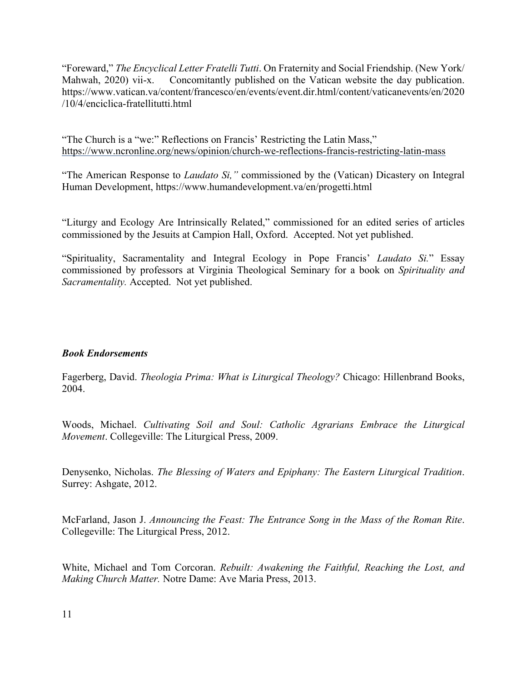"Foreward," *The Encyclical Letter Fratelli Tutti*. On Fraternity and Social Friendship. (New York/ Mahwah, 2020) vii-x. Concomitantly published on the Vatican website the day publication. https://www.vatican.va/content/francesco/en/events/event.dir.html/content/vaticanevents/en/2020 /10/4/enciclica-fratellitutti.html

"The Church is a "we:" Reflections on Francis' Restricting the Latin Mass," https://www.ncronline.org/news/opinion/church-we-reflections-francis-restricting-latin-mass

"The American Response to *Laudato Si,"* commissioned by the (Vatican) Dicastery on Integral Human Development, https://www.humandevelopment.va/en/progetti.html

"Liturgy and Ecology Are Intrinsically Related," commissioned for an edited series of articles commissioned by the Jesuits at Campion Hall, Oxford. Accepted. Not yet published.

"Spirituality, Sacramentality and Integral Ecology in Pope Francis' *Laudato Si.*" Essay commissioned by professors at Virginia Theological Seminary for a book on *Spirituality and Sacramentality.* Accepted. Not yet published.

### *Book Endorsements*

Fagerberg, David. *Theologia Prima: What is Liturgical Theology?* Chicago: Hillenbrand Books, 2004.

Woods, Michael. *Cultivating Soil and Soul: Catholic Agrarians Embrace the Liturgical Movement*. Collegeville: The Liturgical Press, 2009.

Denysenko, Nicholas. *The Blessing of Waters and Epiphany: The Eastern Liturgical Tradition*. Surrey: Ashgate, 2012.

McFarland, Jason J. *Announcing the Feast: The Entrance Song in the Mass of the Roman Rite*. Collegeville: The Liturgical Press, 2012.

White, Michael and Tom Corcoran. *Rebuilt: Awakening the Faithful, Reaching the Lost, and Making Church Matter.* Notre Dame: Ave Maria Press, 2013.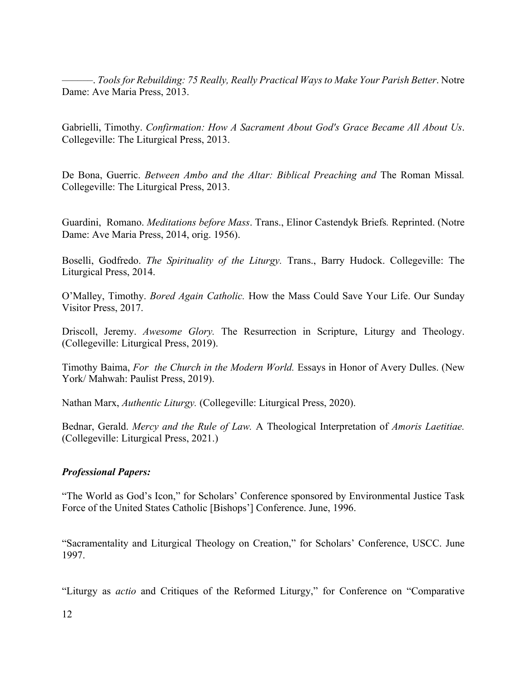––––––. *Tools for Rebuilding: 75 Really, Really Practical Ways to Make Your Parish Better*. Notre Dame: Ave Maria Press, 2013.

Gabrielli, Timothy. *Confirmation: How A Sacrament About God's Grace Became All About Us*. Collegeville: The Liturgical Press, 2013.

De Bona, Guerric. *Between Ambo and the Altar: Biblical Preaching and* The Roman Missal*.* Collegeville: The Liturgical Press, 2013.

Guardini, Romano. *Meditations before Mass*. Trans., Elinor Castendyk Briefs*.* Reprinted. (Notre Dame: Ave Maria Press, 2014, orig. 1956).

Boselli, Godfredo. *The Spirituality of the Liturgy.* Trans., Barry Hudock. Collegeville: The Liturgical Press, 2014.

O'Malley, Timothy. *Bored Again Catholic.* How the Mass Could Save Your Life. Our Sunday Visitor Press, 2017.

Driscoll, Jeremy. *Awesome Glory.* The Resurrection in Scripture, Liturgy and Theology. (Collegeville: Liturgical Press, 2019).

Timothy Baima, *For the Church in the Modern World.* Essays in Honor of Avery Dulles. (New York/ Mahwah: Paulist Press, 2019).

Nathan Marx, *Authentic Liturgy.* (Collegeville: Liturgical Press, 2020).

Bednar, Gerald. *Mercy and the Rule of Law.* A Theological Interpretation of *Amoris Laetitiae.*  (Collegeville: Liturgical Press, 2021.)

### *Professional Papers:*

"The World as God's Icon," for Scholars' Conference sponsored by Environmental Justice Task Force of the United States Catholic [Bishops'] Conference. June, 1996.

"Sacramentality and Liturgical Theology on Creation," for Scholars' Conference, USCC. June 1997.

"Liturgy as *actio* and Critiques of the Reformed Liturgy," for Conference on "Comparative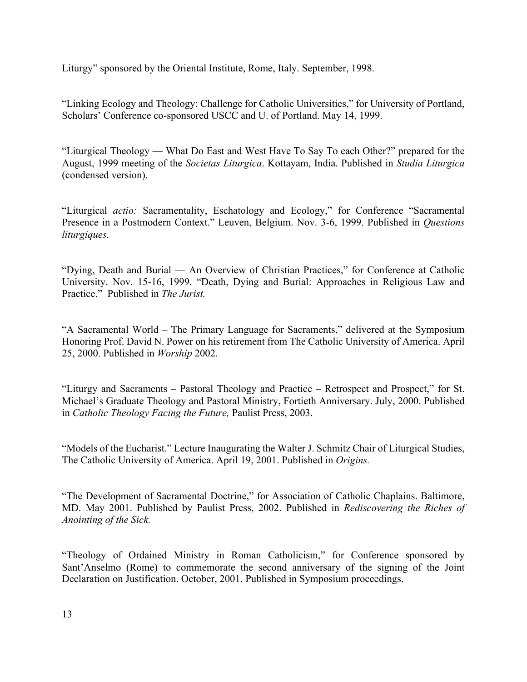Liturgy" sponsored by the Oriental Institute, Rome, Italy. September, 1998.

"Linking Ecology and Theology: Challenge for Catholic Universities," for University of Portland, Scholars' Conference co-sponsored USCC and U. of Portland. May 14, 1999.

"Liturgical Theology — What Do East and West Have To Say To each Other?" prepared for the August, 1999 meeting of the *Societas Liturgica*. Kottayam, India. Published in *Studia Liturgica* (condensed version).

"Liturgical *actio:* Sacramentality, Eschatology and Ecology," for Conference "Sacramental Presence in a Postmodern Context." Leuven, Belgium. Nov. 3-6, 1999. Published in *Questions liturgiques.*

"Dying, Death and Burial — An Overview of Christian Practices," for Conference at Catholic University. Nov. 15-16, 1999. "Death, Dying and Burial: Approaches in Religious Law and Practice." Published in *The Jurist.*

"A Sacramental World – The Primary Language for Sacraments," delivered at the Symposium Honoring Prof. David N. Power on his retirement from The Catholic University of America. April 25, 2000. Published in *Worship* 2002.

"Liturgy and Sacraments – Pastoral Theology and Practice – Retrospect and Prospect," for St. Michael's Graduate Theology and Pastoral Ministry, Fortieth Anniversary. July, 2000. Published in *Catholic Theology Facing the Future,* Paulist Press, 2003.

"Models of the Eucharist." Lecture Inaugurating the Walter J. Schmitz Chair of Liturgical Studies, The Catholic University of America. April 19, 2001. Published in *Origins.*

"The Development of Sacramental Doctrine," for Association of Catholic Chaplains. Baltimore, MD. May 2001. Published by Paulist Press, 2002. Published in *Rediscovering the Riches of Anointing of the Sick.*

"Theology of Ordained Ministry in Roman Catholicism," for Conference sponsored by Sant'Anselmo (Rome) to commemorate the second anniversary of the signing of the Joint Declaration on Justification. October, 2001. Published in Symposium proceedings.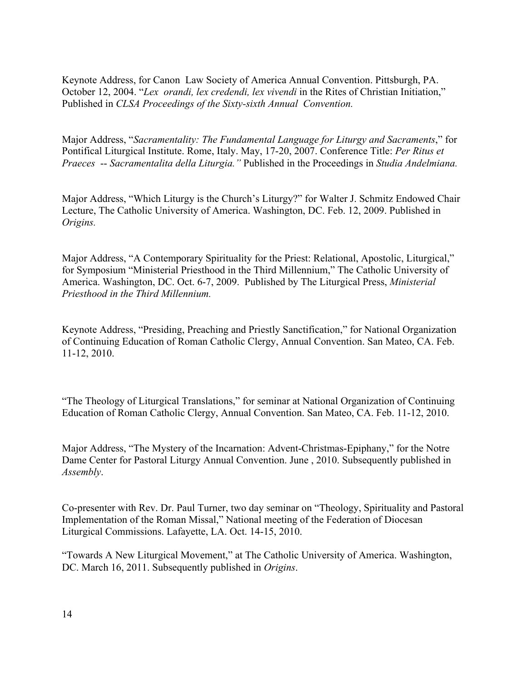Keynote Address, for Canon Law Society of America Annual Convention. Pittsburgh, PA. October 12, 2004. "*Lex orandi, lex credendi, lex vivendi* in the Rites of Christian Initiation," Published in *CLSA Proceedings of the Sixty-sixth Annual Convention.*

Major Address, "*Sacramentality: The Fundamental Language for Liturgy and Sacraments*," for Pontifical Liturgical Institute. Rome, Italy. May, 17-20, 2007. Conference Title: *Per Ritus et Praeces* -- *Sacramentalita della Liturgia."* Published in the Proceedings in *Studia Andelmiana.*

Major Address, "Which Liturgy is the Church's Liturgy?" for Walter J. Schmitz Endowed Chair Lecture, The Catholic University of America. Washington, DC. Feb. 12, 2009. Published in *Origins.* 

Major Address, "A Contemporary Spirituality for the Priest: Relational, Apostolic, Liturgical," for Symposium "Ministerial Priesthood in the Third Millennium," The Catholic University of America. Washington, DC. Oct. 6-7, 2009. Published by The Liturgical Press, *Ministerial Priesthood in the Third Millennium.* 

Keynote Address, "Presiding, Preaching and Priestly Sanctification," for National Organization of Continuing Education of Roman Catholic Clergy, Annual Convention. San Mateo, CA. Feb. 11-12, 2010.

"The Theology of Liturgical Translations," for seminar at National Organization of Continuing Education of Roman Catholic Clergy, Annual Convention. San Mateo, CA. Feb. 11-12, 2010.

Major Address, "The Mystery of the Incarnation: Advent-Christmas-Epiphany," for the Notre Dame Center for Pastoral Liturgy Annual Convention. June , 2010. Subsequently published in *Assembly*.

Co-presenter with Rev. Dr. Paul Turner, two day seminar on "Theology, Spirituality and Pastoral Implementation of the Roman Missal," National meeting of the Federation of Diocesan Liturgical Commissions. Lafayette, LA. Oct. 14-15, 2010.

"Towards A New Liturgical Movement," at The Catholic University of America. Washington, DC. March 16, 2011. Subsequently published in *Origins*.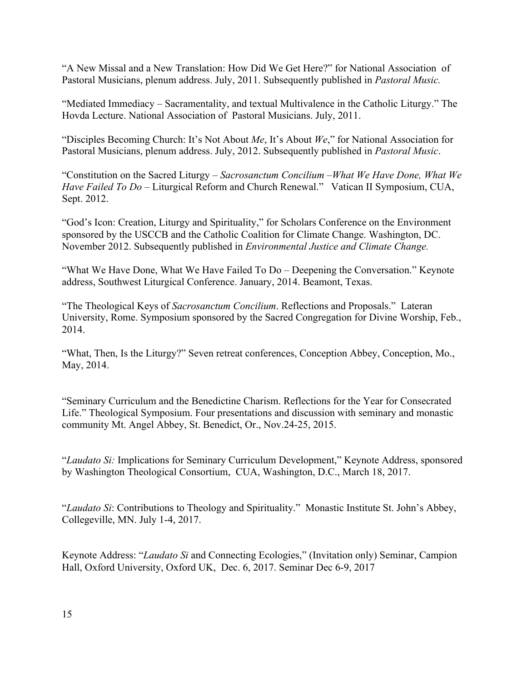"A New Missal and a New Translation: How Did We Get Here?" for National Association of Pastoral Musicians, plenum address. July, 2011. Subsequently published in *Pastoral Music.*

"Mediated Immediacy – Sacramentality, and textual Multivalence in the Catholic Liturgy." The Hovda Lecture. National Association of Pastoral Musicians. July, 2011.

"Disciples Becoming Church: It's Not About *Me*, It's About *We*," for National Association for Pastoral Musicians, plenum address. July, 2012. Subsequently published in *Pastoral Music*.

"Constitution on the Sacred Liturgy – *Sacrosanctum Concilium* –*What We Have Done, What We Have Failed To Do –* Liturgical Reform and Church Renewal." Vatican II Symposium, CUA, Sept. 2012.

"God's Icon: Creation, Liturgy and Spirituality," for Scholars Conference on the Environment sponsored by the USCCB and the Catholic Coalition for Climate Change. Washington, DC. November 2012. Subsequently published in *Environmental Justice and Climate Change.*

"What We Have Done, What We Have Failed To Do – Deepening the Conversation." Keynote address, Southwest Liturgical Conference. January, 2014. Beamont, Texas.

"The Theological Keys of *Sacrosanctum Concilium*. Reflections and Proposals." Lateran University, Rome. Symposium sponsored by the Sacred Congregation for Divine Worship, Feb., 2014.

"What, Then, Is the Liturgy?" Seven retreat conferences, Conception Abbey, Conception, Mo., May, 2014.

"Seminary Curriculum and the Benedictine Charism. Reflections for the Year for Consecrated Life." Theological Symposium. Four presentations and discussion with seminary and monastic community Mt. Angel Abbey, St. Benedict, Or., Nov.24-25, 2015.

"*Laudato Si:* Implications for Seminary Curriculum Development," Keynote Address, sponsored by Washington Theological Consortium, CUA, Washington, D.C., March 18, 2017.

"*Laudato Si*: Contributions to Theology and Spirituality." Monastic Institute St. John's Abbey, Collegeville, MN. July 1-4, 2017.

Keynote Address: "*Laudato Si* and Connecting Ecologies," (Invitation only) Seminar, Campion Hall, Oxford University, Oxford UK, Dec. 6, 2017. Seminar Dec 6-9, 2017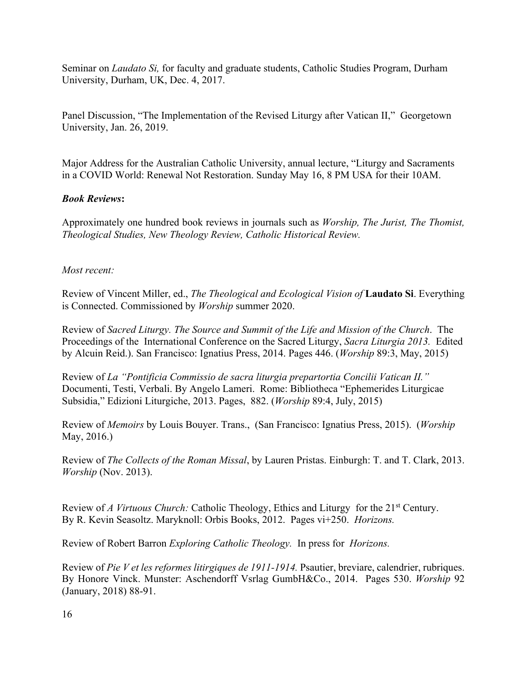Seminar on *Laudato Si,* for faculty and graduate students, Catholic Studies Program, Durham University, Durham, UK, Dec. 4, 2017.

Panel Discussion, "The Implementation of the Revised Liturgy after Vatican II," Georgetown University, Jan. 26, 2019.

Major Address for the Australian Catholic University, annual lecture, "Liturgy and Sacraments in a COVID World: Renewal Not Restoration. Sunday May 16, 8 PM USA for their 10AM.

#### *Book Reviews***:**

Approximately one hundred book reviews in journals such as *Worship, The Jurist, The Thomist, Theological Studies, New Theology Review, Catholic Historical Review.* 

#### *Most recent:*

Review of Vincent Miller, ed., *The Theological and Ecological Vision of* **Laudato Si**. Everything is Connected. Commissioned by *Worship* summer 2020.

Review of *Sacred Liturgy. The Source and Summit of the Life and Mission of the Church*. The Proceedings of the International Conference on the Sacred Liturgy, *Sacra Liturgia 2013.* Edited by Alcuin Reid.). San Francisco: Ignatius Press, 2014. Pages 446. (*Worship* 89:3, May, 2015)

Review of *La "Pontificia Commissio de sacra liturgia prepartortia Concilii Vatican II."*  Documenti, Testi, Verbali. By Angelo Lameri. Rome: Bibliotheca "Ephemerides Liturgicae Subsidia," Edizioni Liturgiche, 2013. Pages, 882. (*Worship* 89:4, July, 2015)

Review of *Memoirs* by Louis Bouyer. Trans., (San Francisco: Ignatius Press, 2015). (*Worship*  May, 2016.)

Review of *The Collects of the Roman Missal*, by Lauren Pristas. Einburgh: T. and T. Clark, 2013. *Worship* (Nov. 2013).

Review of *A Virtuous Church:* Catholic Theology, Ethics and Liturgy for the 21st Century. By R. Kevin Seasoltz. Maryknoll: Orbis Books, 2012. Pages vi+250. *Horizons.*

Review of Robert Barron *Exploring Catholic Theology.* In press for *Horizons.* 

Review of *Pie V et les reformes litirgiques de 1911-1914.* Psautier, breviare, calendrier, rubriques. By Honore Vinck. Munster: Aschendorff Vsrlag GumbH&Co., 2014. Pages 530. *Worship* 92 (January, 2018) 88-91.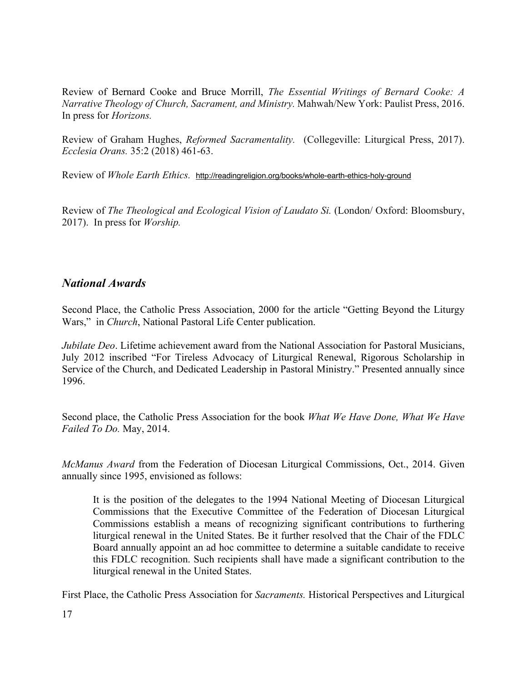Review of Bernard Cooke and Bruce Morrill, *The Essential Writings of Bernard Cooke: A Narrative Theology of Church, Sacrament, and Ministry.* Mahwah/New York: Paulist Press, 2016. In press for *Horizons.*

Review of Graham Hughes, *Reformed Sacramentality.* (Collegeville: Liturgical Press, 2017). *Ecclesia Orans.* 35:2 (2018) 461-63.

Review of *Whole Earth Ethics.* http://readingreligion.org/books/whole-earth-ethics-holy-ground

Review of *The Theological and Ecological Vision of Laudato Si.* (London/ Oxford: Bloomsbury, 2017). In press for *Worship.*

### *National Awards*

Second Place, the Catholic Press Association, 2000 for the article "Getting Beyond the Liturgy Wars," in *Church*, National Pastoral Life Center publication.

*Jubilate Deo*. Lifetime achievement award from the National Association for Pastoral Musicians, July 2012 inscribed "For Tireless Advocacy of Liturgical Renewal, Rigorous Scholarship in Service of the Church, and Dedicated Leadership in Pastoral Ministry." Presented annually since 1996.

Second place, the Catholic Press Association for the book *What We Have Done, What We Have Failed To Do.* May, 2014.

*McManus Award* from the Federation of Diocesan Liturgical Commissions, Oct., 2014. Given annually since 1995, envisioned as follows:

It is the position of the delegates to the 1994 National Meeting of Diocesan Liturgical Commissions that the Executive Committee of the Federation of Diocesan Liturgical Commissions establish a means of recognizing significant contributions to furthering liturgical renewal in the United States. Be it further resolved that the Chair of the FDLC Board annually appoint an ad hoc committee to determine a suitable candidate to receive this FDLC recognition. Such recipients shall have made a significant contribution to the liturgical renewal in the United States.

First Place, the Catholic Press Association for *Sacraments.* Historical Perspectives and Liturgical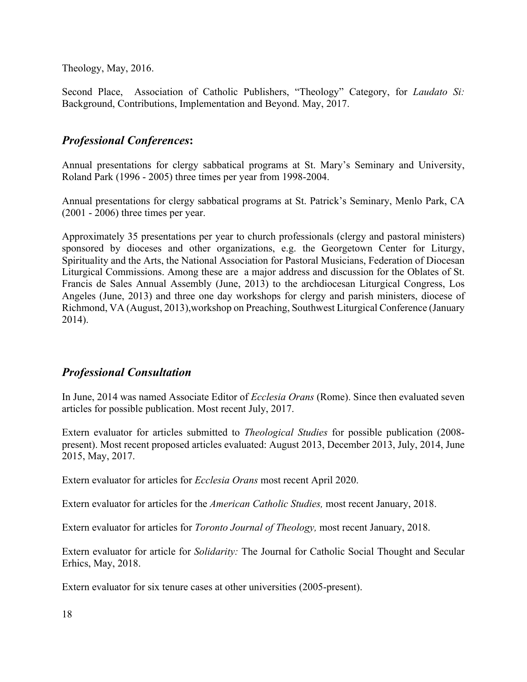Theology, May, 2016.

Second Place, Association of Catholic Publishers, "Theology" Category, for *Laudato Si:*  Background, Contributions, Implementation and Beyond. May, 2017.

### *Professional Conferences***:**

Annual presentations for clergy sabbatical programs at St. Mary's Seminary and University, Roland Park (1996 - 2005) three times per year from 1998-2004.

Annual presentations for clergy sabbatical programs at St. Patrick's Seminary, Menlo Park, CA (2001 - 2006) three times per year.

Approximately 35 presentations per year to church professionals (clergy and pastoral ministers) sponsored by dioceses and other organizations, e.g. the Georgetown Center for Liturgy, Spirituality and the Arts, the National Association for Pastoral Musicians, Federation of Diocesan Liturgical Commissions. Among these are a major address and discussion for the Oblates of St. Francis de Sales Annual Assembly (June, 2013) to the archdiocesan Liturgical Congress, Los Angeles (June, 2013) and three one day workshops for clergy and parish ministers, diocese of Richmond, VA (August, 2013),workshop on Preaching, Southwest Liturgical Conference (January 2014).

### *Professional Consultation*

In June, 2014 was named Associate Editor of *Ecclesia Orans* (Rome). Since then evaluated seven articles for possible publication. Most recent July, 2017.

Extern evaluator for articles submitted to *Theological Studies* for possible publication (2008 present). Most recent proposed articles evaluated: August 2013, December 2013, July, 2014, June 2015, May, 2017.

Extern evaluator for articles for *Ecclesia Orans* most recent April 2020.

Extern evaluator for articles for the *American Catholic Studies,* most recent January, 2018.

Extern evaluator for articles for *Toronto Journal of Theology,* most recent January, 2018.

Extern evaluator for article for *Solidarity:* The Journal for Catholic Social Thought and Secular Erhics, May, 2018.

Extern evaluator for six tenure cases at other universities (2005-present).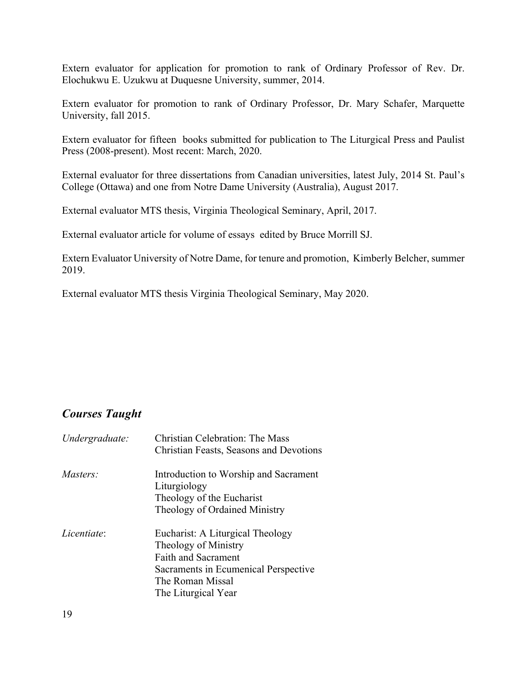Extern evaluator for application for promotion to rank of Ordinary Professor of Rev. Dr. Elochukwu E. Uzukwu at Duquesne University, summer, 2014.

Extern evaluator for promotion to rank of Ordinary Professor, Dr. Mary Schafer, Marquette University, fall 2015.

Extern evaluator for fifteen books submitted for publication to The Liturgical Press and Paulist Press (2008-present). Most recent: March, 2020.

External evaluator for three dissertations from Canadian universities, latest July, 2014 St. Paul's College (Ottawa) and one from Notre Dame University (Australia), August 2017.

External evaluator MTS thesis, Virginia Theological Seminary, April, 2017.

External evaluator article for volume of essays edited by Bruce Morrill SJ.

Extern Evaluator University of Notre Dame, for tenure and promotion, Kimberly Belcher, summer 2019.

External evaluator MTS thesis Virginia Theological Seminary, May 2020.

# *Courses Taught*

| Undergraduate: | <b>Christian Celebration: The Mass</b><br>Christian Feasts, Seasons and Devotions                                                                                         |
|----------------|---------------------------------------------------------------------------------------------------------------------------------------------------------------------------|
| Masters:       | Introduction to Worship and Sacrament<br>Liturgiology<br>Theology of the Eucharist<br>Theology of Ordained Ministry                                                       |
| Licentiate:    | Eucharist: A Liturgical Theology<br>Theology of Ministry<br><b>Faith and Sacrament</b><br>Sacraments in Ecumenical Perspective<br>The Roman Missal<br>The Liturgical Year |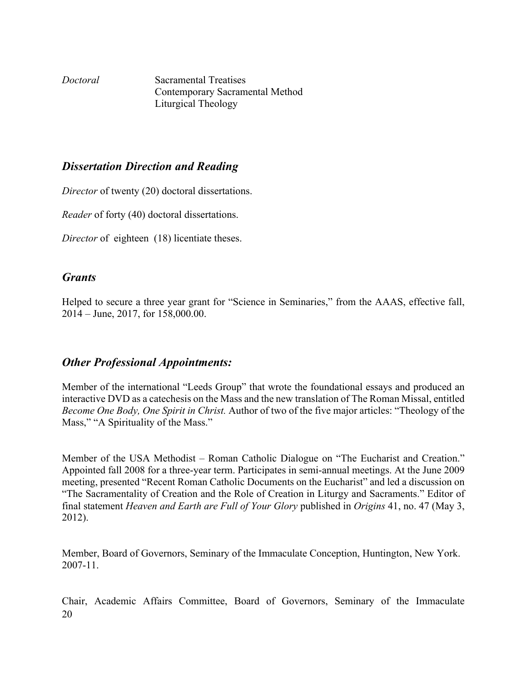*Doctoral* Sacramental Treatises Contemporary Sacramental Method Liturgical Theology

### *Dissertation Direction and Reading*

*Director* of twenty (20) doctoral dissertations.

*Reader* of forty (40) doctoral dissertations.

*Director* of eighteen (18) licentiate theses.

### *Grants*

Helped to secure a three year grant for "Science in Seminaries," from the AAAS, effective fall, 2014 – June, 2017, for 158,000.00.

### *Other Professional Appointments:*

Member of the international "Leeds Group" that wrote the foundational essays and produced an interactive DVD as a catechesis on the Mass and the new translation of The Roman Missal, entitled *Become One Body, One Spirit in Christ.* Author of two of the five major articles: "Theology of the Mass," "A Spirituality of the Mass."

Member of the USA Methodist – Roman Catholic Dialogue on "The Eucharist and Creation." Appointed fall 2008 for a three-year term. Participates in semi-annual meetings. At the June 2009 meeting, presented "Recent Roman Catholic Documents on the Eucharist" and led a discussion on "The Sacramentality of Creation and the Role of Creation in Liturgy and Sacraments." Editor of final statement *Heaven and Earth are Full of Your Glory* published in *Origins* 41, no. 47 (May 3, 2012).

Member, Board of Governors, Seminary of the Immaculate Conception, Huntington, New York. 2007-11.

20 Chair, Academic Affairs Committee, Board of Governors, Seminary of the Immaculate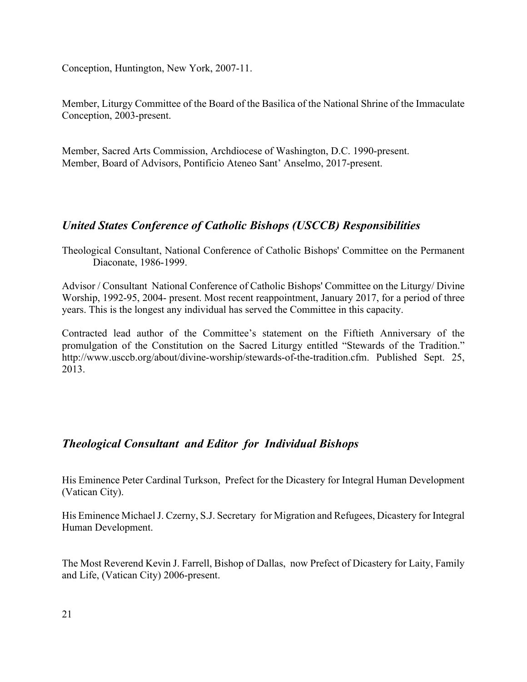Conception, Huntington, New York, 2007-11.

Member, Liturgy Committee of the Board of the Basilica of the National Shrine of the Immaculate Conception, 2003-present.

Member, Sacred Arts Commission, Archdiocese of Washington, D.C. 1990-present. Member, Board of Advisors, Pontificio Ateneo Sant' Anselmo, 2017-present.

# *United States Conference of Catholic Bishops (USCCB) Responsibilities*

Theological Consultant, National Conference of Catholic Bishops' Committee on the Permanent Diaconate, 1986-1999.

Advisor / Consultant National Conference of Catholic Bishops' Committee on the Liturgy/ Divine Worship, 1992-95, 2004- present. Most recent reappointment, January 2017, for a period of three years. This is the longest any individual has served the Committee in this capacity.

Contracted lead author of the Committee's statement on the Fiftieth Anniversary of the promulgation of the Constitution on the Sacred Liturgy entitled "Stewards of the Tradition." http://www.usccb.org/about/divine-worship/stewards-of-the-tradition.cfm. Published Sept. 25, 2013.

# *Theological Consultant and Editor for Individual Bishops*

His Eminence Peter Cardinal Turkson, Prefect for the Dicastery for Integral Human Development (Vatican City).

His Eminence Michael J. Czerny, S.J. Secretary for Migration and Refugees, Dicastery for Integral Human Development.

The Most Reverend Kevin J. Farrell, Bishop of Dallas, now Prefect of Dicastery for Laity, Family and Life, (Vatican City) 2006-present.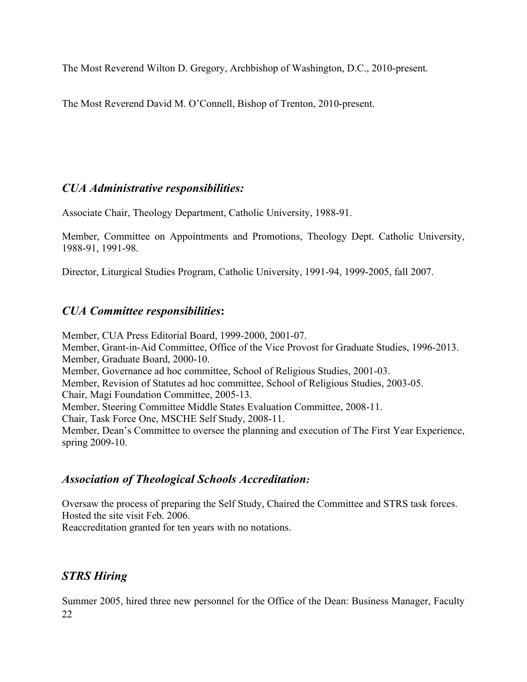The Most Reverend Wilton D. Gregory, Archbishop of Washington, D.C., 2010-present.

The Most Reverend David M. O'Connell, Bishop of Trenton, 2010-present.

# *CUA Administrative responsibilities:*

Associate Chair, Theology Department, Catholic University, 1988-91.

Member, Committee on Appointments and Promotions, Theology Dept. Catholic University, 1988-91, 1991-98.

Director, Liturgical Studies Program, Catholic University, 1991-94, 1999-2005, fall 2007.

# *CUA Committee responsibilities***:**

Member, CUA Press Editorial Board, 1999-2000, 2001-07. Member, Grant-in-Aid Committee, Office of the Vice Provost for Graduate Studies, 1996-2013. Member, Graduate Board, 2000-10. Member, Governance ad hoc committee, School of Religious Studies, 2001-03. Member, Revision of Statutes ad hoc committee, School of Religious Studies, 2003-05. Chair, Magi Foundation Committee, 2005-13. Member, Steering Committee Middle States Evaluation Committee, 2008-11. Chair, Task Force One, MSCHE Self Study, 2008-11. Member, Dean's Committee to oversee the planning and execution of The First Year Experience, spring 2009-10.

# *Association of Theological Schools Accreditation:*

Oversaw the process of preparing the Self Study, Chaired the Committee and STRS task forces. Hosted the site visit Feb. 2006.

Reaccreditation granted for ten years with no notations.

# *STRS Hiring*

22 Summer 2005, hired three new personnel for the Office of the Dean: Business Manager, Faculty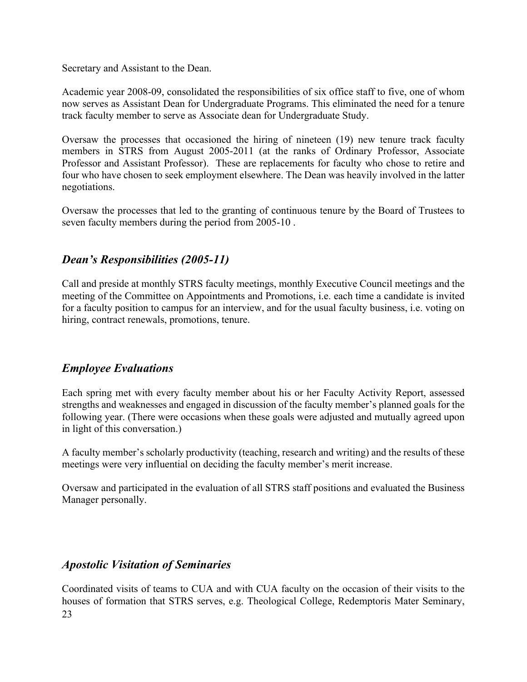Secretary and Assistant to the Dean.

Academic year 2008-09, consolidated the responsibilities of six office staff to five, one of whom now serves as Assistant Dean for Undergraduate Programs. This eliminated the need for a tenure track faculty member to serve as Associate dean for Undergraduate Study.

Oversaw the processes that occasioned the hiring of nineteen (19) new tenure track faculty members in STRS from August 2005-2011 (at the ranks of Ordinary Professor, Associate Professor and Assistant Professor). These are replacements for faculty who chose to retire and four who have chosen to seek employment elsewhere. The Dean was heavily involved in the latter negotiations.

Oversaw the processes that led to the granting of continuous tenure by the Board of Trustees to seven faculty members during the period from 2005-10 .

# *Dean's Responsibilities (2005-11)*

Call and preside at monthly STRS faculty meetings, monthly Executive Council meetings and the meeting of the Committee on Appointments and Promotions, i.e. each time a candidate is invited for a faculty position to campus for an interview, and for the usual faculty business, i.e. voting on hiring, contract renewals, promotions, tenure.

# *Employee Evaluations*

Each spring met with every faculty member about his or her Faculty Activity Report, assessed strengths and weaknesses and engaged in discussion of the faculty member's planned goals for the following year. (There were occasions when these goals were adjusted and mutually agreed upon in light of this conversation.)

A faculty member's scholarly productivity (teaching, research and writing) and the results of these meetings were very influential on deciding the faculty member's merit increase.

Oversaw and participated in the evaluation of all STRS staff positions and evaluated the Business Manager personally.

# *Apostolic Visitation of Seminaries*

23 Coordinated visits of teams to CUA and with CUA faculty on the occasion of their visits to the houses of formation that STRS serves, e.g. Theological College, Redemptoris Mater Seminary,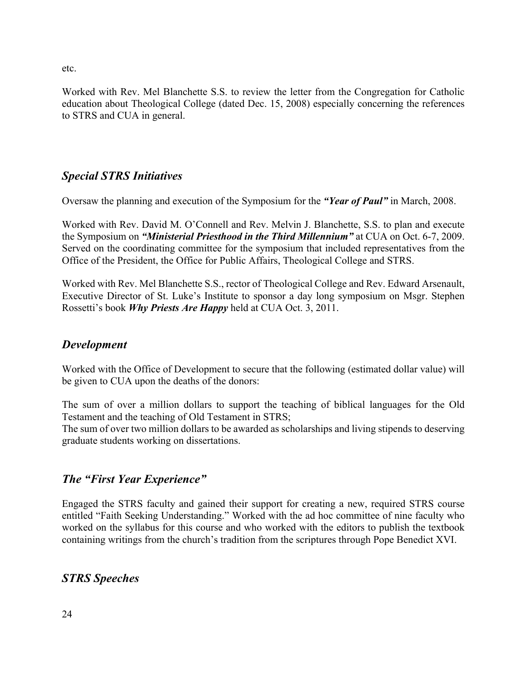etc.

Worked with Rev. Mel Blanchette S.S. to review the letter from the Congregation for Catholic education about Theological College (dated Dec. 15, 2008) especially concerning the references to STRS and CUA in general.

# *Special STRS Initiatives*

Oversaw the planning and execution of the Symposium for the *"Year of Paul"* in March, 2008.

Worked with Rev. David M. O'Connell and Rev. Melvin J. Blanchette, S.S. to plan and execute the Symposium on *"Ministerial Priesthood in the Third Millennium"* at CUA on Oct. 6-7, 2009. Served on the coordinating committee for the symposium that included representatives from the Office of the President, the Office for Public Affairs, Theological College and STRS.

Worked with Rev. Mel Blanchette S.S., rector of Theological College and Rev. Edward Arsenault, Executive Director of St. Luke's Institute to sponsor a day long symposium on Msgr. Stephen Rossetti's book *Why Priests Are Happy* held at CUA Oct. 3, 2011.

### *Development*

Worked with the Office of Development to secure that the following (estimated dollar value) will be given to CUA upon the deaths of the donors:

The sum of over a million dollars to support the teaching of biblical languages for the Old Testament and the teaching of Old Testament in STRS;

The sum of over two million dollars to be awarded as scholarships and living stipends to deserving graduate students working on dissertations.

# *The "First Year Experience"*

Engaged the STRS faculty and gained their support for creating a new, required STRS course entitled "Faith Seeking Understanding." Worked with the ad hoc committee of nine faculty who worked on the syllabus for this course and who worked with the editors to publish the textbook containing writings from the church's tradition from the scriptures through Pope Benedict XVI.

# *STRS Speeches*